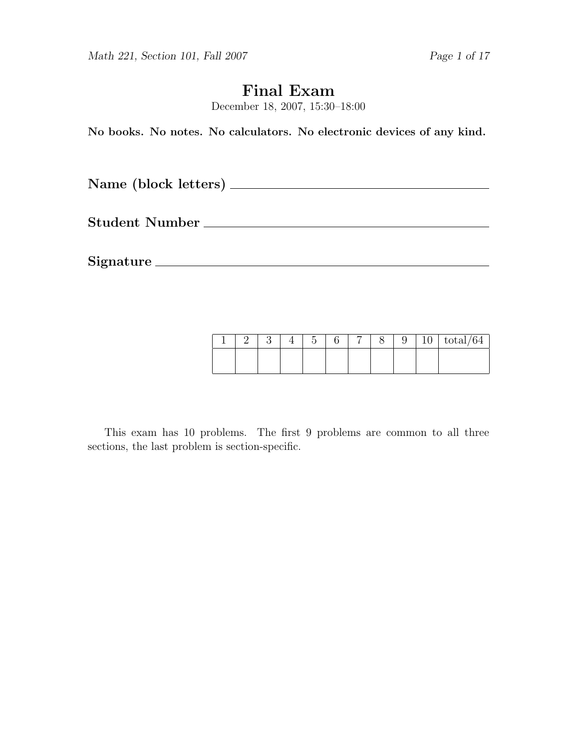Math 221, Section 101, Fall 2007 Page 1 of 17

# Final Exam

December 18, 2007, 15:30–18:00

No books. No notes. No calculators. No electronic devices of any kind.

Name (block letters)

Student Number

Signature

|  |  | $\tilde{}$ |  |  | τO | $\mathrm{total}/64$ |
|--|--|------------|--|--|----|---------------------|
|  |  |            |  |  |    |                     |
|  |  |            |  |  |    |                     |

This exam has 10 problems. The first 9 problems are common to all three sections, the last problem is section-specific.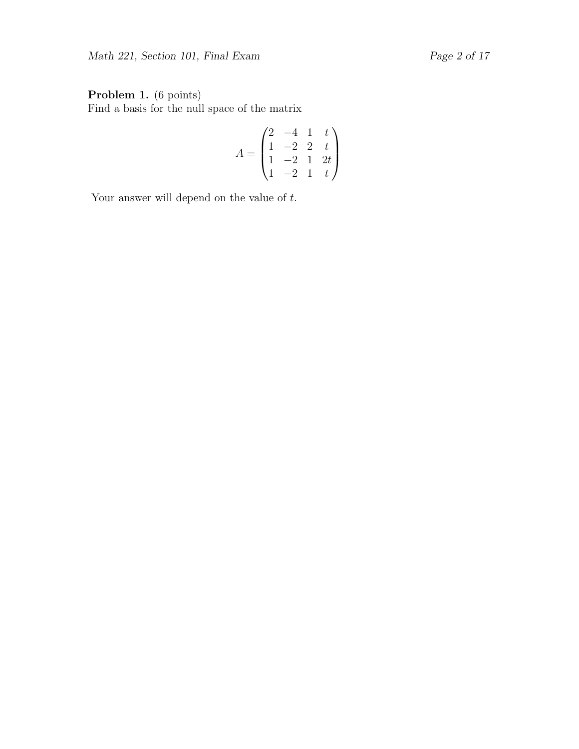## Problem 1. (6 points)

Find a basis for the null space of the matrix

$$
A = \begin{pmatrix} 2 & -4 & 1 & t \\ 1 & -2 & 2 & t \\ 1 & -2 & 1 & 2t \\ 1 & -2 & 1 & t \end{pmatrix}
$$

Your answer will depend on the value of  $t$ .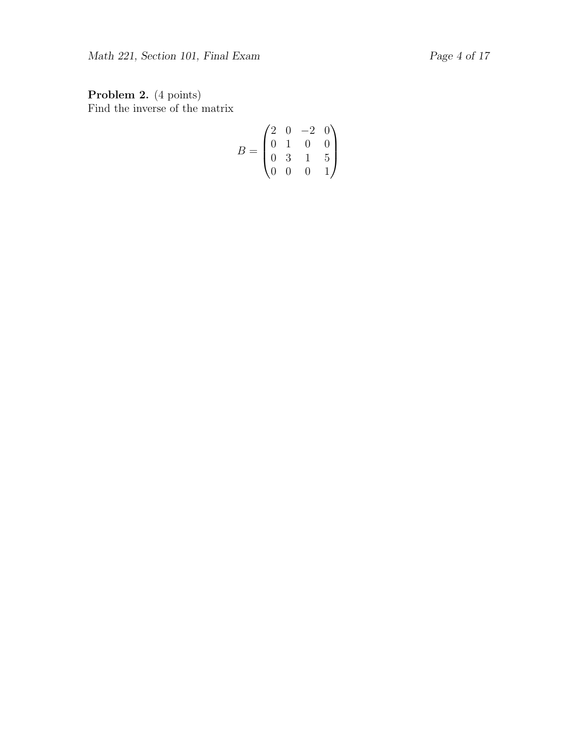Problem 2. (4 points) Find the inverse of the matrix

$$
B = \begin{pmatrix} 2 & 0 & -2 & 0 \\ 0 & 1 & 0 & 0 \\ 0 & 3 & 1 & 5 \\ 0 & 0 & 0 & 1 \end{pmatrix}
$$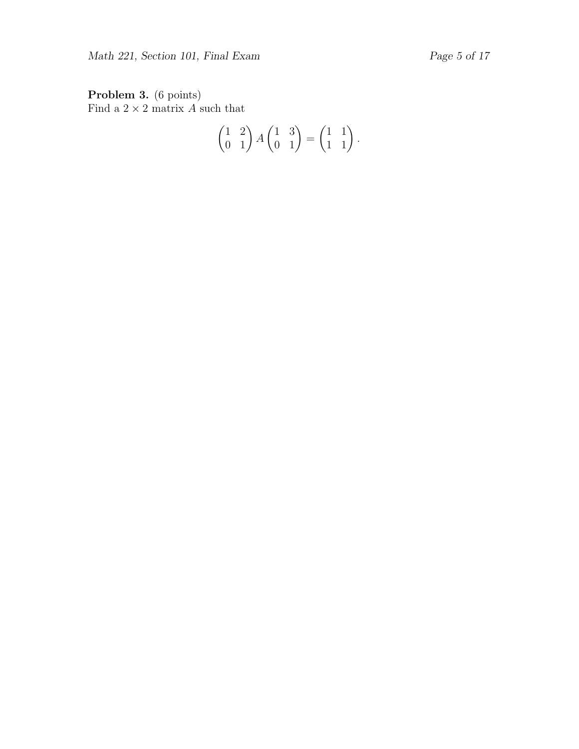Problem 3. (6 points) Find a  $2 \times 2$  matrix A such that

$$
\begin{pmatrix} 1 & 2 \\ 0 & 1 \end{pmatrix} A \begin{pmatrix} 1 & 3 \\ 0 & 1 \end{pmatrix} = \begin{pmatrix} 1 & 1 \\ 1 & 1 \end{pmatrix}.
$$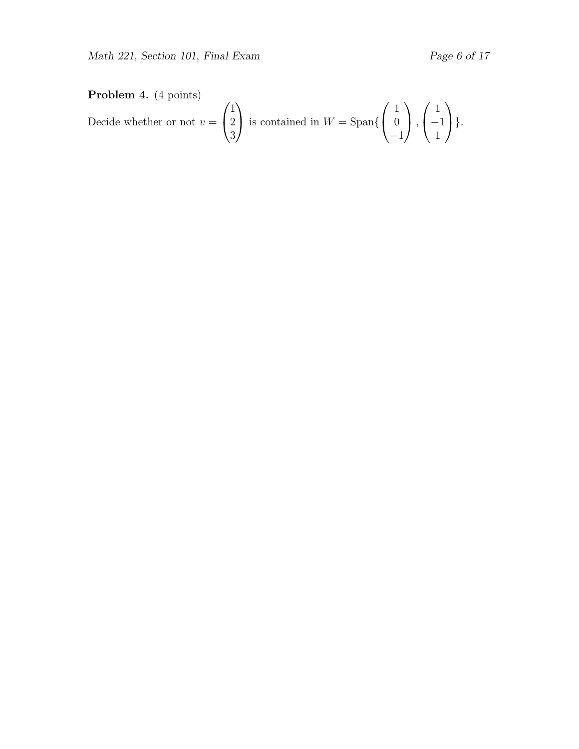## Problem 4. (4 points)

Decide whether or not  $v =$  $\sqrt{ }$  $\overline{1}$ 1 2 3  $\setminus$ is contained in  $W = \text{Span}\{$  $\sqrt{ }$  $\overline{1}$ 1  $\overline{0}$ −1  $\setminus$  $\vert$ ,  $\sqrt{ }$  $\overline{1}$ 1 −1 1  $\setminus$  $\bigg\}$ .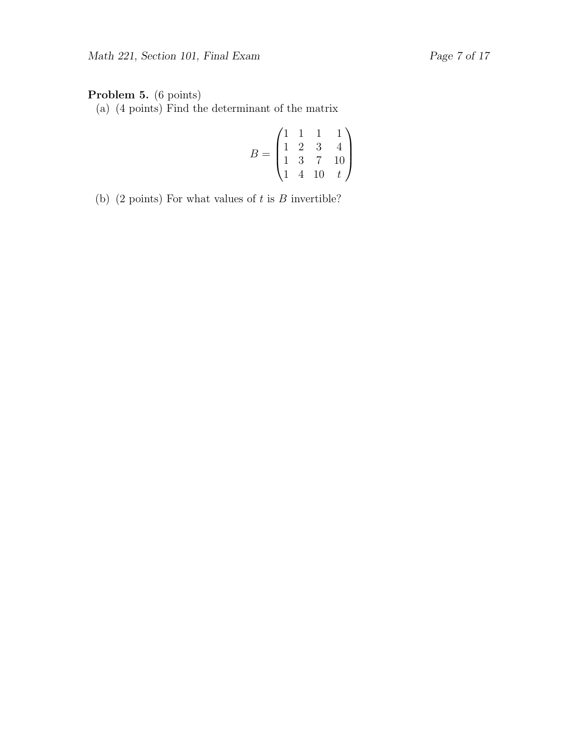## Problem 5. (6 points)

(a) (4 points) Find the determinant of the matrix

$$
B = \begin{pmatrix} 1 & 1 & 1 & 1 \\ 1 & 2 & 3 & 4 \\ 1 & 3 & 7 & 10 \\ 1 & 4 & 10 & t \end{pmatrix}
$$

(b) (2 points) For what values of  $t$  is  $B$  invertible?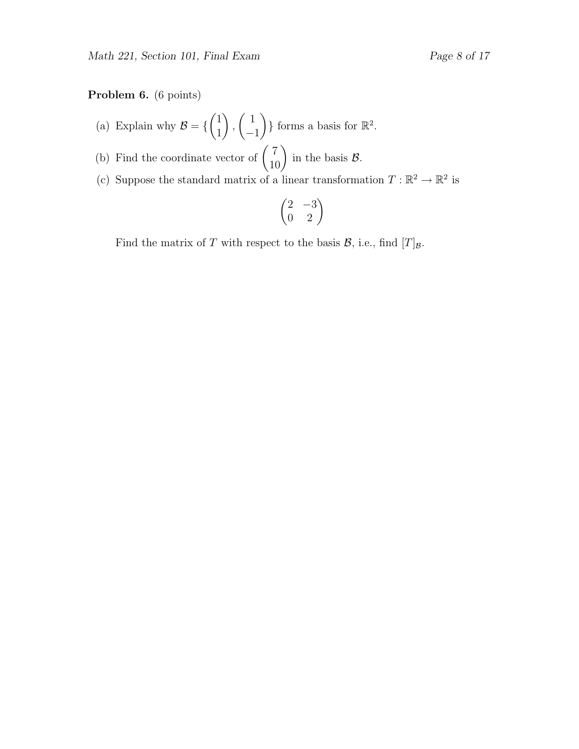### Problem 6. (6 points)

- (a) Explain why  $\mathcal{B} = \{$  $(1)$ 1  $\setminus$ ,  $\begin{pmatrix} 1 \end{pmatrix}$ −1  $\}$  forms a basis for  $\mathbb{R}^2$ .
- (b) Find the coordinate vector of  $\begin{pmatrix} 7 \\ 10 \end{pmatrix}$  in the basis  $\mathcal{B}$ .
- (c) Suppose the standard matrix of a linear transformation  $T : \mathbb{R}^2 \to \mathbb{R}^2$  is

$$
\begin{pmatrix} 2 & -3 \\ 0 & 2 \end{pmatrix}
$$

Find the matrix of T with respect to the basis  $\mathcal{B}$ , i.e., find  $[T]_{\mathcal{B}}$ .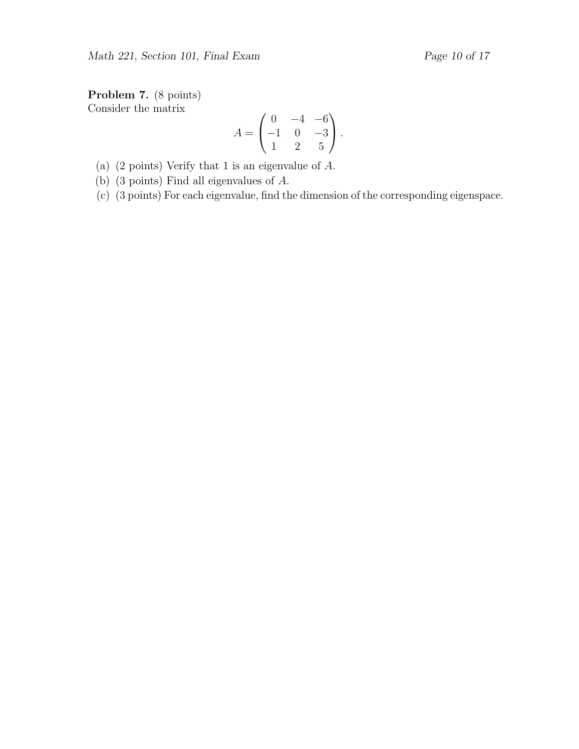Problem 7. (8 points) Consider the matrix

$$
A = \begin{pmatrix} 0 & -4 & -6 \\ -1 & 0 & -3 \\ 1 & 2 & 5 \end{pmatrix}.
$$

(a) (2 points) Verify that 1 is an eigenvalue of A.

(b) (3 points) Find all eigenvalues of A.

(c) (3 points) For each eigenvalue, find the dimension of the corresponding eigenspace.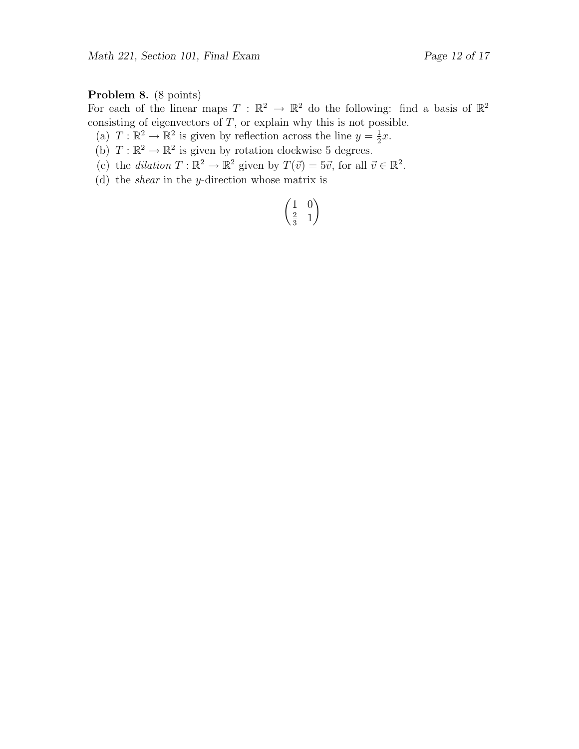## Problem 8. (8 points)

For each of the linear maps  $T : \mathbb{R}^2 \to \mathbb{R}^2$  do the following: find a basis of  $\mathbb{R}^2$ consisting of eigenvectors of  $T$ , or explain why this is not possible.

- (a)  $T : \mathbb{R}^2 \to \mathbb{R}^2$  is given by reflection across the line  $y = \frac{1}{2}$  $rac{1}{2}x$ .
- (b)  $T : \mathbb{R}^2 \to \mathbb{R}^2$  is given by rotation clockwise 5 degrees.
- (c) the dilation  $T : \mathbb{R}^2 \to \mathbb{R}^2$  given by  $T(\vec{v}) = 5\vec{v}$ , for all  $\vec{v} \in \mathbb{R}^2$ .
- (d) the shear in the y-direction whose matrix is

$$
\begin{pmatrix}\n1 & 0 \\
\frac{2}{3} & 1\n\end{pmatrix}
$$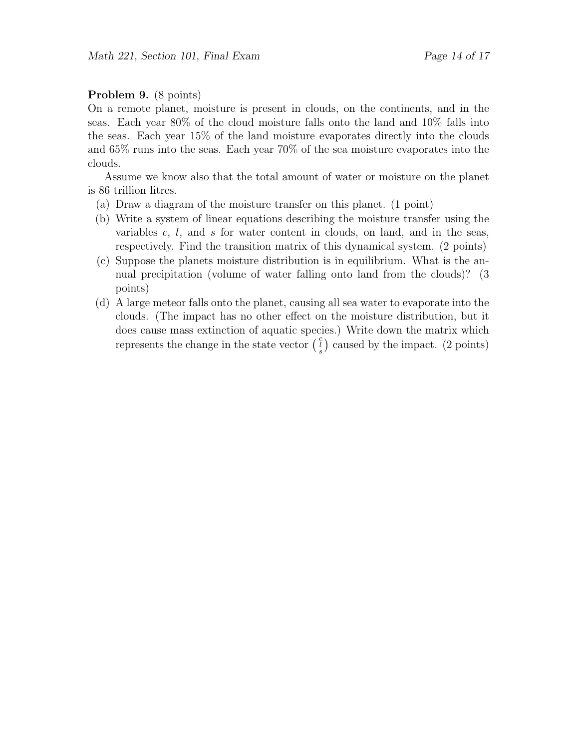#### Problem 9. (8 points)

On a remote planet, moisture is present in clouds, on the continents, and in the seas. Each year 80% of the cloud moisture falls onto the land and 10% falls into the seas. Each year 15% of the land moisture evaporates directly into the clouds and 65% runs into the seas. Each year 70% of the sea moisture evaporates into the clouds.

Assume we know also that the total amount of water or moisture on the planet is 86 trillion litres.

- (a) Draw a diagram of the moisture transfer on this planet. (1 point)
- (b) Write a system of linear equations describing the moisture transfer using the variables  $c, l$ , and  $s$  for water content in clouds, on land, and in the seas, respectively. Find the transition matrix of this dynamical system. (2 points)
- (c) Suppose the planets moisture distribution is in equilibrium. What is the annual precipitation (volume of water falling onto land from the clouds)? (3 points)
- (d) A large meteor falls onto the planet, causing all sea water to evaporate into the clouds. (The impact has no other effect on the moisture distribution, but it does cause mass extinction of aquatic species.) Write down the matrix which represents the change in the state vector  $\begin{pmatrix} c \\ s \end{pmatrix}$  caused by the impact. (2 points)